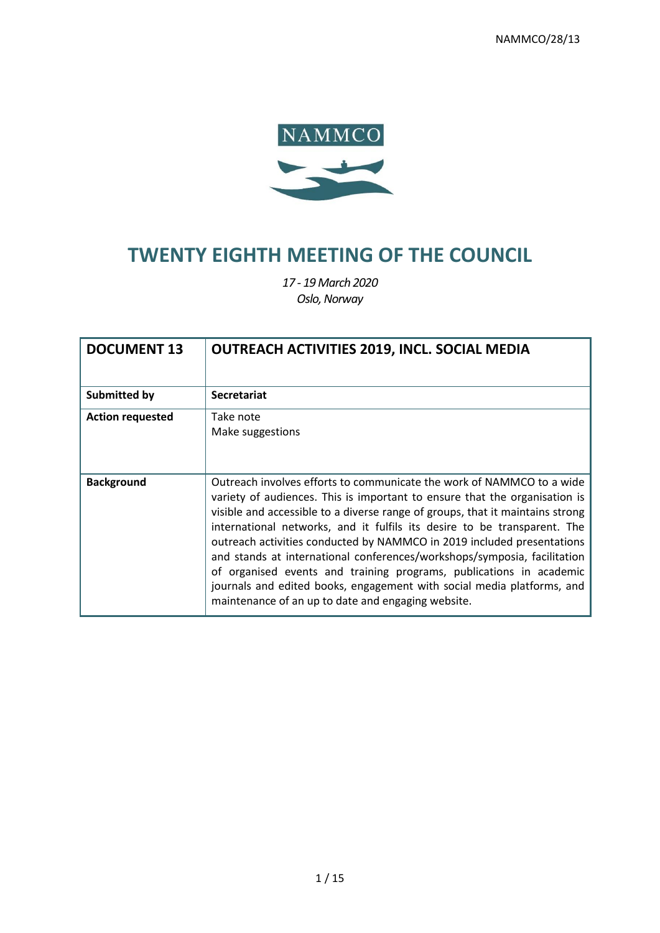

# **TWENTY EIGHTH MEETING OF THE COUNCIL**

*17 - 19 March 2020 Oslo, Norway*

| <b>DOCUMENT 13</b>      | <b>OUTREACH ACTIVITIES 2019, INCL. SOCIAL MEDIA</b>                                                                                                                                                                                                                                                                                                                                                                                                                                                                                                                                                                                                                           |
|-------------------------|-------------------------------------------------------------------------------------------------------------------------------------------------------------------------------------------------------------------------------------------------------------------------------------------------------------------------------------------------------------------------------------------------------------------------------------------------------------------------------------------------------------------------------------------------------------------------------------------------------------------------------------------------------------------------------|
| <b>Submitted by</b>     | <b>Secretariat</b>                                                                                                                                                                                                                                                                                                                                                                                                                                                                                                                                                                                                                                                            |
| <b>Action requested</b> | Take note<br>Make suggestions                                                                                                                                                                                                                                                                                                                                                                                                                                                                                                                                                                                                                                                 |
| <b>Background</b>       | Outreach involves efforts to communicate the work of NAMMCO to a wide<br>variety of audiences. This is important to ensure that the organisation is<br>visible and accessible to a diverse range of groups, that it maintains strong<br>international networks, and it fulfils its desire to be transparent. The<br>outreach activities conducted by NAMMCO in 2019 included presentations<br>and stands at international conferences/workshops/symposia, facilitation<br>of organised events and training programs, publications in academic<br>journals and edited books, engagement with social media platforms, and<br>maintenance of an up to date and engaging website. |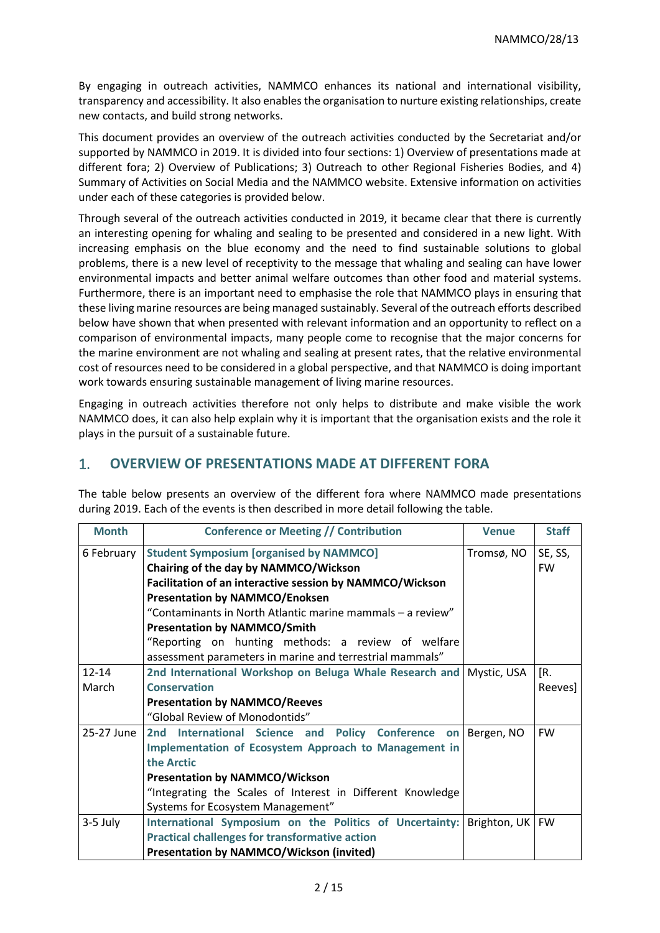By engaging in outreach activities, NAMMCO enhances its national and international visibility, transparency and accessibility. It also enables the organisation to nurture existing relationships, create new contacts, and build strong networks.

This document provides an overview of the outreach activities conducted by the Secretariat and/or supported by NAMMCO in 2019. It is divided into four sections: 1) Overview of presentations made at different fora; 2) Overview of Publications; 3) Outreach to other Regional Fisheries Bodies, and 4) Summary of Activities on Social Media and the NAMMCO website. Extensive information on activities under each of these categories is provided below.

Through several of the outreach activities conducted in 2019, it became clear that there is currently an interesting opening for whaling and sealing to be presented and considered in a new light. With increasing emphasis on the blue economy and the need to find sustainable solutions to global problems, there is a new level of receptivity to the message that whaling and sealing can have lower environmental impacts and better animal welfare outcomes than other food and material systems. Furthermore, there is an important need to emphasise the role that NAMMCO plays in ensuring that these living marine resources are being managed sustainably. Several of the outreach efforts described below have shown that when presented with relevant information and an opportunity to reflect on a comparison of environmental impacts, many people come to recognise that the major concerns for the marine environment are not whaling and sealing at present rates, that the relative environmental cost of resources need to be considered in a global perspective, and that NAMMCO is doing important work towards ensuring sustainable management of living marine resources.

Engaging in outreach activities therefore not only helps to distribute and make visible the work NAMMCO does, it can also help explain why it is important that the organisation exists and the role it plays in the pursuit of a sustainable future.

# 1. **OVERVIEW OF PRESENTATIONS MADE AT DIFFERENT FORA**

The table below presents an overview of the different fora where NAMMCO made presentations during 2019. Each of the events is then described in more detail following the table.

| <b>Month</b> | <b>Conference or Meeting // Contribution</b>                        | <b>Venue</b> | <b>Staff</b> |
|--------------|---------------------------------------------------------------------|--------------|--------------|
| 6 February   | <b>Student Symposium [organised by NAMMCO]</b>                      | Tromsø, NO   | SE, SS,      |
|              | Chairing of the day by NAMMCO/Wickson                               |              | <b>FW</b>    |
|              | Facilitation of an interactive session by NAMMCO/Wickson            |              |              |
|              | <b>Presentation by NAMMCO/Enoksen</b>                               |              |              |
|              | "Contaminants in North Atlantic marine mammals - a review"          |              |              |
|              | <b>Presentation by NAMMCO/Smith</b>                                 |              |              |
|              | "Reporting on hunting methods: a review of welfare                  |              |              |
|              | assessment parameters in marine and terrestrial mammals"            |              |              |
| $12 - 14$    | 2nd International Workshop on Beluga Whale Research and Mystic, USA |              | [R.          |
| March        | <b>Conservation</b>                                                 |              | Reeves]      |
|              | <b>Presentation by NAMMCO/Reeves</b>                                |              |              |
|              | "Global Review of Monodontids"                                      |              |              |
| 25-27 June   | 2nd International Science and Policy Conference on                  | Bergen, NO   | <b>FW</b>    |
|              | Implementation of Ecosystem Approach to Management in               |              |              |
|              | the Arctic                                                          |              |              |
|              | <b>Presentation by NAMMCO/Wickson</b>                               |              |              |
|              | "Integrating the Scales of Interest in Different Knowledge          |              |              |
|              | Systems for Ecosystem Management"                                   |              |              |
| 3-5 July     | International Symposium on the Politics of Uncertainty:             | Brighton, UK | <b>FW</b>    |
|              | <b>Practical challenges for transformative action</b>               |              |              |
|              | <b>Presentation by NAMMCO/Wickson (invited)</b>                     |              |              |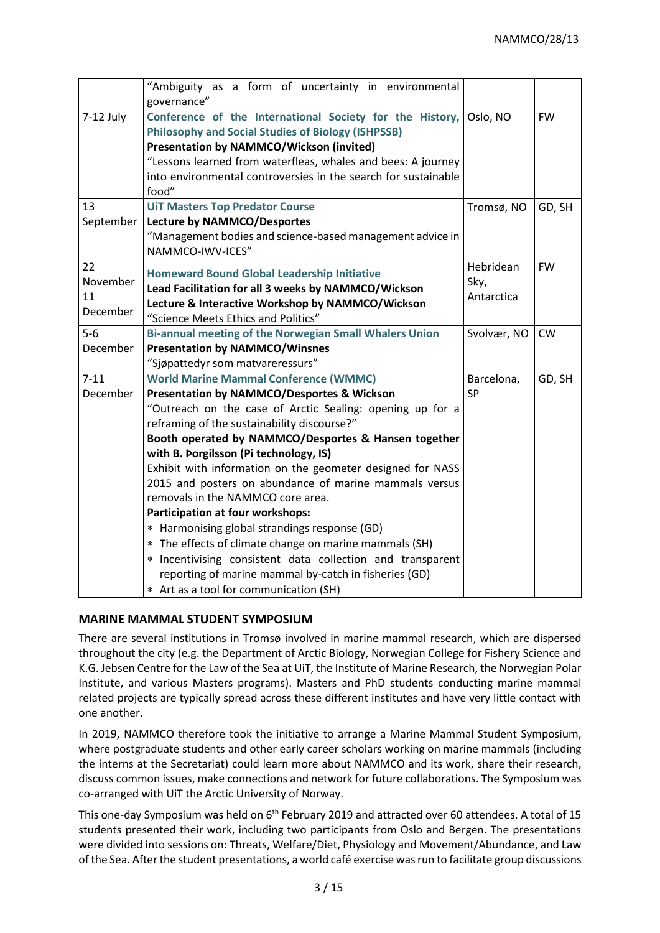|             | "Ambiguity as a form of uncertainty in environmental           |             |           |
|-------------|----------------------------------------------------------------|-------------|-----------|
|             | governance"                                                    |             |           |
| $7-12$ July | Conference of the International Society for the History,       | Oslo, NO    | <b>FW</b> |
|             | <b>Philosophy and Social Studies of Biology (ISHPSSB)</b>      |             |           |
|             | <b>Presentation by NAMMCO/Wickson (invited)</b>                |             |           |
|             | "Lessons learned from waterfleas, whales and bees: A journey   |             |           |
|             | into environmental controversies in the search for sustainable |             |           |
|             | food"                                                          |             |           |
| 13          | <b>UIT Masters Top Predator Course</b>                         | Tromsø, NO  | GD, SH    |
| September   | <b>Lecture by NAMMCO/Desportes</b>                             |             |           |
|             | "Management bodies and science-based management advice in      |             |           |
|             | NAMMCO-IWV-ICES"                                               |             |           |
| 22          | <b>Homeward Bound Global Leadership Initiative</b>             | Hebridean   | <b>FW</b> |
| November    | Lead Facilitation for all 3 weeks by NAMMCO/Wickson            | Sky,        |           |
| 11          | Lecture & Interactive Workshop by NAMMCO/Wickson               | Antarctica  |           |
| December    | "Science Meets Ethics and Politics"                            |             |           |
| $5-6$       | Bi-annual meeting of the Norwegian Small Whalers Union         | Svolvær, NO | <b>CW</b> |
| December    | <b>Presentation by NAMMCO/Winsnes</b>                          |             |           |
|             | "Sjøpattedyr som matvareressurs"                               |             |           |
| $7 - 11$    | <b>World Marine Mammal Conference (WMMC)</b>                   | Barcelona,  | GD, SH    |
| December    | <b>Presentation by NAMMCO/Desportes &amp; Wickson</b>          | SP          |           |
|             | "Outreach on the case of Arctic Sealing: opening up for a      |             |           |
|             | reframing of the sustainability discourse?"                    |             |           |
|             | Booth operated by NAMMCO/Desportes & Hansen together           |             |           |
|             | with B. Þorgilsson (Pi technology, IS)                         |             |           |
|             | Exhibit with information on the geometer designed for NASS     |             |           |
|             | 2015 and posters on abundance of marine mammals versus         |             |           |
|             | removals in the NAMMCO core area.                              |             |           |
|             | Participation at four workshops:                               |             |           |
|             | * Harmonising global strandings response (GD)                  |             |           |
|             | * The effects of climate change on marine mammals (SH)         |             |           |
|             | * Incentivising consistent data collection and transparent     |             |           |
|             | reporting of marine mammal by-catch in fisheries (GD)          |             |           |
|             | * Art as a tool for communication (SH)                         |             |           |

# **MARINE MAMMAL STUDENT SYMPOSIUM**

There are several institutions in Tromsø involved in marine mammal research, which are dispersed throughout the city (e.g. the Department of Arctic Biology, Norwegian College for Fishery Science and K.G. Jebsen Centre for the Law of the Sea at UiT, the Institute of Marine Research, the Norwegian Polar Institute, and various Masters programs). Masters and PhD students conducting marine mammal related projects are typically spread across these different institutes and have very little contact with one another.

In 2019, NAMMCO therefore took the initiative to arrange a Marine Mammal Student Symposium, where postgraduate students and other early career scholars working on marine mammals (including the interns at the Secretariat) could learn more about NAMMCO and its work, share their research, discuss common issues, make connections and network for future collaborations. The Symposium was co-arranged with UiT the Arctic University of Norway.

This one-day Symposium was held on 6<sup>th</sup> February 2019 and attracted over 60 attendees. A total of 15 students presented their work, including two participants from Oslo and Bergen. The presentations were divided into sessions on: Threats, Welfare/Diet, Physiology and Movement/Abundance, and Law of the Sea. After the student presentations, a world café exercise was run to facilitate group discussions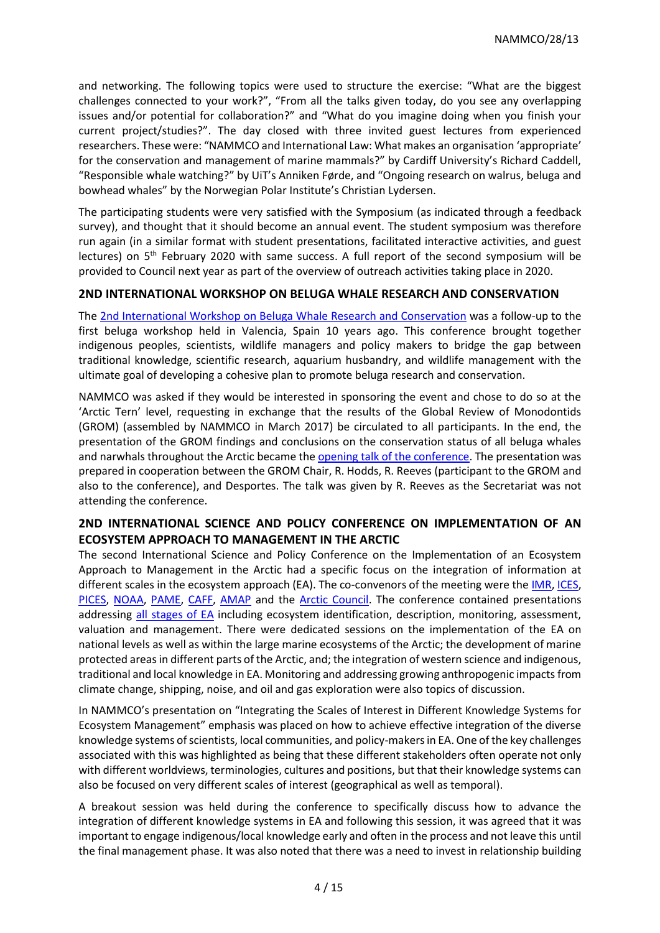and networking. The following topics were used to structure the exercise: "What are the biggest challenges connected to your work?", "From all the talks given today, do you see any overlapping issues and/or potential for collaboration?" and "What do you imagine doing when you finish your current project/studies?". The day closed with three invited guest lectures from experienced researchers. These were: "NAMMCO and International Law: What makes an organisation 'appropriate' for the conservation and management of marine mammals?" by Cardiff University's Richard Caddell, "Responsible whale watching?" by UiT's Anniken Førde, and "Ongoing research on walrus, beluga and bowhead whales" by the Norwegian Polar Institute's Christian Lydersen.

The participating students were very satisfied with the Symposium (as indicated through a feedback survey), and thought that it should become an annual event. The student symposium was therefore run again (in a similar format with student presentations, facilitated interactive activities, and guest lectures) on  $5<sup>th</sup>$  February 2020 with same success. A full report of the second symposium will be provided to Council next year as part of the overview of outreach activities taking place in 2020.

# **2ND INTERNATIONAL WORKSHOP ON BELUGA WHALE RESEARCH AND CONSERVATION**

The [2nd International Workshop on Beluga Whale Research and Conservation](https://www.mysticaquarium.org/belugaconference/) was a follow-up to the first beluga workshop held in Valencia, Spain 10 years ago. This conference brought together indigenous peoples, scientists, wildlife managers and policy makers to bridge the gap between traditional knowledge, scientific research, aquarium husbandry, and wildlife management with the ultimate goal of developing a cohesive plan to promote beluga research and conservation.

NAMMCO was asked if they would be interested in sponsoring the event and chose to do so at the 'Arctic Tern' level, requesting in exchange that the results of the Global Review of Monodontids (GROM) (assembled by NAMMCO in March 2017) be circulated to all participants. In the end, the presentation of the GROM findings and conclusions on the conservation status of all beluga whales and narwhals throughout the Arctic became th[e opening talk of the conference.](https://www.mysticaquarium.org/2019/02/22/mystic-aquarium-announces-keynote-for-international-beluga-conference/) The presentation was prepared in cooperation between the GROM Chair, R. Hodds, R. Reeves (participant to the GROM and also to the conference), and Desportes. The talk was given by R. Reeves as the Secretariat was not attending the conference.

# **2ND INTERNATIONAL SCIENCE AND POLICY CONFERENCE ON IMPLEMENTATION OF AN ECOSYSTEM APPROACH TO MANAGEMENT IN THE ARCTIC**

The second International Science and Policy Conference on the Implementation of an Ecosystem Approach to Management in the Arctic had a specific focus on the integration of information at different scales in the ecosystem approach (EA). The co-convenors of the meeting were th[e IMR,](https://www.hi.no/hi) [ICES,](https://www.ices.dk/Pages/default.aspx) [PICES,](https://meetings.pices.int/) [NOAA,](https://www.noaa.gov/) [PAME,](https://www.pame.is/index.php/shortcode/about-us) [CAFF,](https://www.caff.is/) [AMAP](https://www.amap.no/) and the [Arctic Council.](https://arctic-council.org/index.php/en/) The conference contained presentations addressing [all stages of EA](https://nammco.no/topics/implementing-the-ecosystem-approach-to-management/) including ecosystem identification, description, monitoring, assessment, valuation and management. There were dedicated sessions on the implementation of the EA on national levels as well as within the large marine ecosystems of the Arctic; the development of marine protected areas in different parts of the Arctic, and; the integration of western science and indigenous, traditional and local knowledge in EA. Monitoring and addressing growing anthropogenic impacts from climate change, shipping, noise, and oil and gas exploration were also topics of discussion.

In NAMMCO's presentation on "Integrating the Scales of Interest in Different Knowledge Systems for Ecosystem Management" emphasis was placed on how to achieve effective integration of the diverse knowledge systems of scientists, local communities, and policy-makers in EA. One of the key challenges associated with this was highlighted as being that these different stakeholders often operate not only with different worldviews, terminologies, cultures and positions, but that their knowledge systems can also be focused on very different scales of interest (geographical as well as temporal).

A breakout session was held during the conference to specifically discuss how to advance the integration of different knowledge systems in EA and following this session, it was agreed that it was important to engage indigenous/local knowledge early and often in the process and not leave this until the final management phase. It was also noted that there was a need to invest in relationship building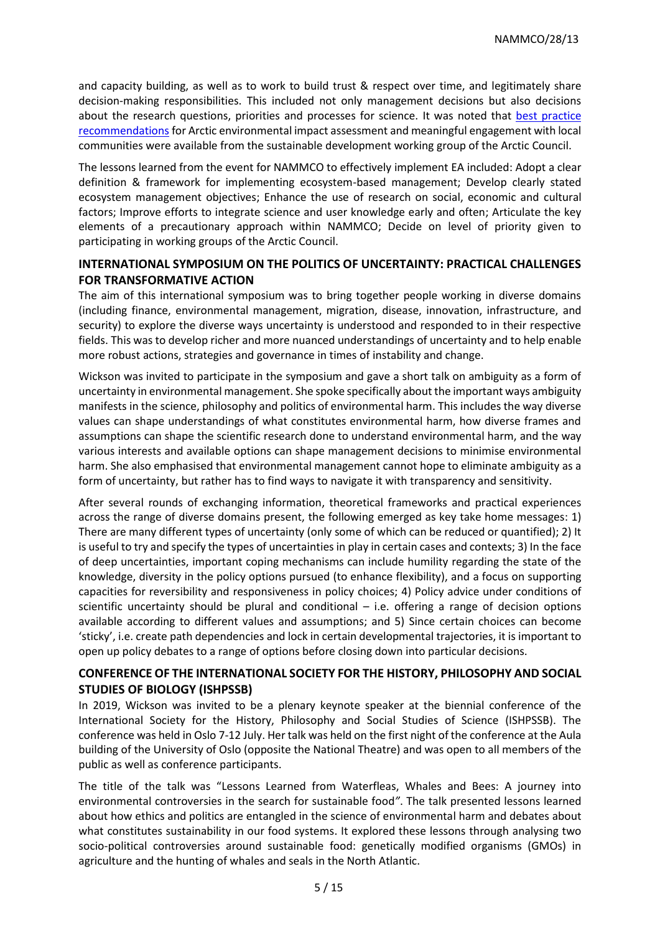and capacity building, as well as to work to build trust & respect over time, and legitimately share decision-making responsibilities. This included not only management decisions but also decisions about the research questions, priorities and processes for science. It was noted that [best practice](https://www.sdwg.org/activities/sdwg-projects-2017-2019/arctic-eia/)  [recommendations](https://www.sdwg.org/activities/sdwg-projects-2017-2019/arctic-eia/) for Arctic environmental impact assessment and meaningful engagement with local communities were available from the sustainable development working group of the Arctic Council.

The lessons learned from the event for NAMMCO to effectively implement EA included: Adopt a clear definition & framework for implementing ecosystem-based management; Develop clearly stated ecosystem management objectives; Enhance the use of research on social, economic and cultural factors; Improve efforts to integrate science and user knowledge early and often; Articulate the key elements of a precautionary approach within NAMMCO; Decide on level of priority given to participating in working groups of the Arctic Council.

# **INTERNATIONAL SYMPOSIUM ON THE POLITICS OF UNCERTAINTY: PRACTICAL CHALLENGES FOR TRANSFORMATIVE ACTION**

The aim of this international symposium was to bring together people working in diverse domains (including finance, environmental management, migration, disease, innovation, infrastructure, and security) to explore the diverse ways uncertainty is understood and responded to in their respective fields. This was to develop richer and more nuanced understandings of uncertainty and to help enable more robust actions, strategies and governance in times of instability and change.

Wickson was invited to participate in the symposium and gave a short talk on ambiguity as a form of uncertainty in environmental management. She spoke specifically about the important ways ambiguity manifests in the science, philosophy and politics of environmental harm. This includes the way diverse values can shape understandings of what constitutes environmental harm, how diverse frames and assumptions can shape the scientific research done to understand environmental harm, and the way various interests and available options can shape management decisions to minimise environmental harm. She also emphasised that environmental management cannot hope to eliminate ambiguity as a form of uncertainty, but rather has to find ways to navigate it with transparency and sensitivity.

After several rounds of exchanging information, theoretical frameworks and practical experiences across the range of diverse domains present, the following emerged as key take home messages: 1) There are many different types of uncertainty (only some of which can be reduced or quantified); 2) It is useful to try and specify the types of uncertainties in play in certain cases and contexts; 3) In the face of deep uncertainties, important coping mechanisms can include humility regarding the state of the knowledge, diversity in the policy options pursued (to enhance flexibility), and a focus on supporting capacities for reversibility and responsiveness in policy choices; 4) Policy advice under conditions of scientific uncertainty should be plural and conditional  $-$  i.e. offering a range of decision options available according to different values and assumptions; and 5) Since certain choices can become 'sticky', i.e. create path dependencies and lock in certain developmental trajectories, it is important to open up policy debates to a range of options before closing down into particular decisions.

# **CONFERENCE OF THE INTERNATIONAL SOCIETY FOR THE HISTORY, PHILOSOPHY AND SOCIAL STUDIES OF BIOLOGY (ISHPSSB)**

In 2019, Wickson was invited to be a plenary keynote speaker at the biennial conference of the International Society for the History, Philosophy and Social Studies of Science (ISHPSSB). The conference was held in Oslo 7-12 July. Her talk was held on the first night of the conference at the Aula building of the University of Oslo (opposite the National Theatre) and was open to all members of the public as well as conference participants.

The title of the talk was "Lessons Learned from Waterfleas, Whales and Bees: A journey into environmental controversies in the search for sustainable food*"*. The talk presented lessons learned about how ethics and politics are entangled in the science of environmental harm and debates about what constitutes sustainability in our food systems. It explored these lessons through analysing two socio-political controversies around sustainable food: genetically modified organisms (GMOs) in agriculture and the hunting of whales and seals in the North Atlantic.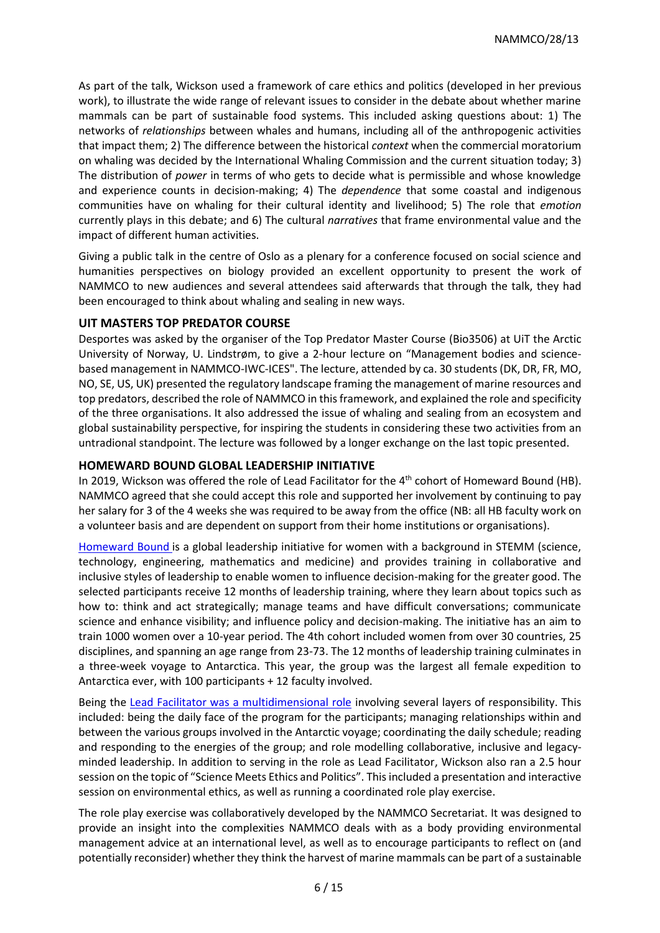As part of the talk, Wickson used a framework of care ethics and politics (developed in her previous work), to illustrate the wide range of relevant issues to consider in the debate about whether marine mammals can be part of sustainable food systems. This included asking questions about: 1) The networks of *relationships* between whales and humans, including all of the anthropogenic activities that impact them; 2) The difference between the historical *context* when the commercial moratorium on whaling was decided by the International Whaling Commission and the current situation today; 3) The distribution of *power* in terms of who gets to decide what is permissible and whose knowledge and experience counts in decision-making; 4) The *dependence* that some coastal and indigenous communities have on whaling for their cultural identity and livelihood; 5) The role that *emotion*  currently plays in this debate; and 6) The cultural *narratives* that frame environmental value and the impact of different human activities.

Giving a public talk in the centre of Oslo as a plenary for a conference focused on social science and humanities perspectives on biology provided an excellent opportunity to present the work of NAMMCO to new audiences and several attendees said afterwards that through the talk, they had been encouraged to think about whaling and sealing in new ways.

# **UIT MASTERS TOP PREDATOR COURSE**

Desportes was asked by the organiser of the Top Predator Master Course (Bio3506) at UiT the Arctic University of Norway, U. Lindstrøm, to give a 2-hour lecture on "Management bodies and sciencebased management in NAMMCO-IWC-ICES". The lecture, attended by ca. 30 students (DK, DR, FR, MO, NO, SE, US, UK) presented the regulatory landscape framing the management of marine resources and top predators, described the role of NAMMCO in this framework, and explained the role and specificity of the three organisations. It also addressed the issue of whaling and sealing from an ecosystem and global sustainability perspective, for inspiring the students in considering these two activities from an untradional standpoint. The lecture was followed by a longer exchange on the last topic presented.

# **HOMEWARD BOUND GLOBAL LEADERSHIP INITIATIVE**

In 2019, Wickson was offered the role of Lead Facilitator for the 4<sup>th</sup> cohort of Homeward Bound (HB). NAMMCO agreed that she could accept this role and supported her involvement by continuing to pay her salary for 3 of the 4 weeks she was required to be away from the office (NB: all HB faculty work on a volunteer basis and are dependent on support from their home institutions or organisations).

[Homeward Bound](https://homewardboundprojects.com.au/) is a global leadership initiative for women with a background in STEMM (science, technology, engineering, mathematics and medicine) and provides training in collaborative and inclusive styles of leadership to enable women to influence decision-making for the greater good. The selected participants receive 12 months of leadership training, where they learn about topics such as how to: think and act strategically; manage teams and have difficult conversations; communicate science and enhance visibility; and influence policy and decision-making. The initiative has an aim to train 1000 women over a 10-year period. The 4th cohort included women from over 30 countries, 25 disciplines, and spanning an age range from 23-73. The 12 months of leadership training culminates in a three-week voyage to Antarctica. This year, the group was the largest all female expedition to Antarctica ever, with 100 participants + 12 faculty involved.

Being the [Lead Facilitator was a multidimensional role](https://nammco.no/topics/blog-what-does-it-mean-to-be-the-lead-facilitator-for-homeward-bound/) involving several layers of responsibility. This included: being the daily face of the program for the participants; managing relationships within and between the various groups involved in the Antarctic voyage; coordinating the daily schedule; reading and responding to the energies of the group; and role modelling collaborative, inclusive and legacyminded leadership. In addition to serving in the role as Lead Facilitator, Wickson also ran a 2.5 hour session on the topic of "Science Meets Ethics and Politics". This included a presentation and interactive session on environmental ethics, as well as running a coordinated role play exercise.

The role play exercise was collaboratively developed by the NAMMCO Secretariat. It was designed to provide an insight into the complexities NAMMCO deals with as a body providing environmental management advice at an international level, as well as to encourage participants to reflect on (and potentially reconsider) whether they think the harvest of marine mammals can be part of a sustainable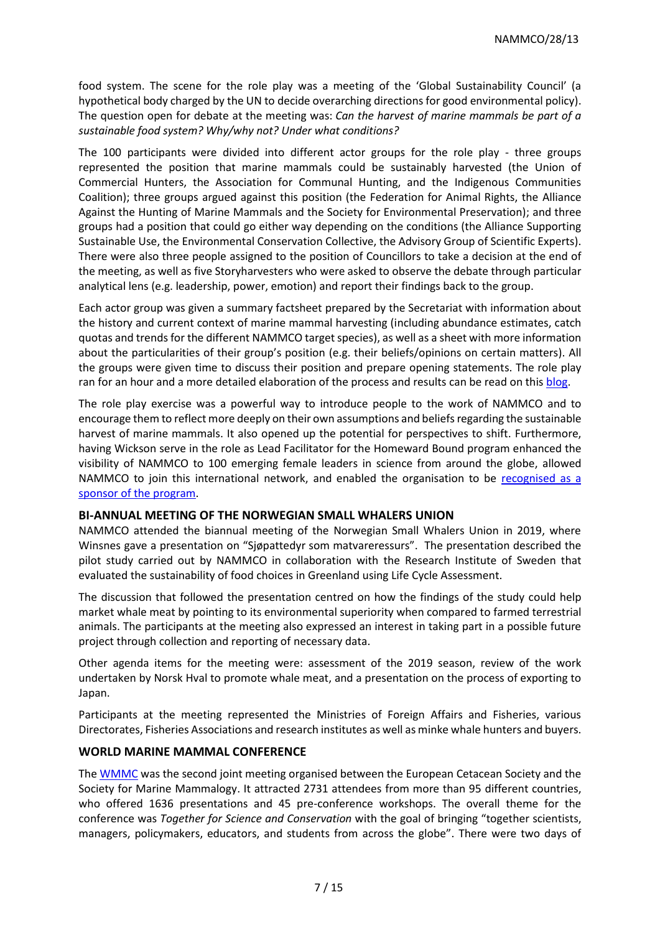food system. The scene for the role play was a meeting of the 'Global Sustainability Council' (a hypothetical body charged by the UN to decide overarching directions for good environmental policy). The question open for debate at the meeting was: *Can the harvest of marine mammals be part of a sustainable food system? Why/why not? Under what conditions?*

The 100 participants were divided into different actor groups for the role play - three groups represented the position that marine mammals could be sustainably harvested (the Union of Commercial Hunters, the Association for Communal Hunting, and the Indigenous Communities Coalition); three groups argued against this position (the Federation for Animal Rights, the Alliance Against the Hunting of Marine Mammals and the Society for Environmental Preservation); and three groups had a position that could go either way depending on the conditions (the Alliance Supporting Sustainable Use, the Environmental Conservation Collective, the Advisory Group of Scientific Experts). There were also three people assigned to the position of Councillors to take a decision at the end of the meeting, as well as five Storyharvesters who were asked to observe the debate through particular analytical lens (e.g. leadership, power, emotion) and report their findings back to the group.

Each actor group was given a summary factsheet prepared by the Secretariat with information about the history and current context of marine mammal harvesting (including abundance estimates, catch quotas and trends for the different NAMMCO target species), as well as a sheet with more information about the particularities of their group's position (e.g. their beliefs/opinions on certain matters). All the groups were given time to discuss their position and prepare opening statements. The role play ran for an hour and a more detailed elaboration of the process and results can be read on thi[s blog.](https://nammco.no/topics/blog-can-the-harvest-of-marine-mammals-be-part-of-a-sustainable-food-system-learning-from-role-play/)

The role play exercise was a powerful way to introduce people to the work of NAMMCO and to encourage them to reflect more deeply on their own assumptions and beliefs regarding the sustainable harvest of marine mammals. It also opened up the potential for perspectives to shift. Furthermore, having Wickson serve in the role as Lead Facilitator for the Homeward Bound program enhanced the visibility of NAMMCO to 100 emerging female leaders in science from around the globe, allowed NAMMCO to join this international network, and enabled the organisation to be [recognised as a](https://homewardboundprojects.com.au/sponsors/)  [sponsor of the program.](https://homewardboundprojects.com.au/sponsors/)

## **BI-ANNUAL MEETING OF THE NORWEGIAN SMALL WHALERS UNION**

NAMMCO attended the biannual meeting of the Norwegian Small Whalers Union in 2019, where Winsnes gave a presentation on "Sjøpattedyr som matvareressurs". The presentation described the pilot study carried out by NAMMCO in collaboration with the Research Institute of Sweden that evaluated the sustainability of food choices in Greenland using Life Cycle Assessment.

The discussion that followed the presentation centred on how the findings of the study could help market whale meat by pointing to its environmental superiority when compared to farmed terrestrial animals. The participants at the meeting also expressed an interest in taking part in a possible future project through collection and reporting of necessary data.

Other agenda items for the meeting were: assessment of the 2019 season, review of the work undertaken by Norsk Hval to promote whale meat, and a presentation on the process of exporting to Japan.

Participants at the meeting represented the Ministries of Foreign Affairs and Fisheries, various Directorates, Fisheries Associations and research institutes as well as minke whale hunters and buyers.

## **WORLD MARINE MAMMAL CONFERENCE**

The [WMMC](https://www.wmmconference.org/) was the second joint meeting organised between the European Cetacean Society and the Society for Marine Mammalogy. It attracted 2731 attendees from more than 95 different countries, who offered 1636 presentations and 45 pre-conference workshops. The overall theme for the conference was *Together for Science and Conservation* with the goal of bringing "together scientists, managers, policymakers, educators, and students from across the globe". There were two days of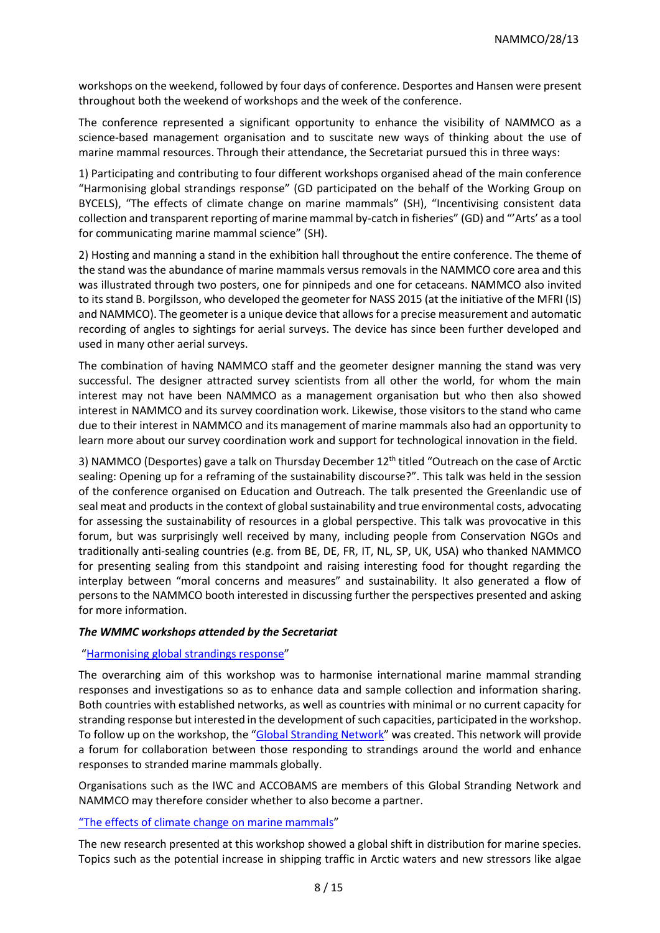workshops on the weekend, followed by four days of conference. Desportes and Hansen were present throughout both the weekend of workshops and the week of the conference.

The conference represented a significant opportunity to enhance the visibility of NAMMCO as a science-based management organisation and to suscitate new ways of thinking about the use of marine mammal resources. Through their attendance, the Secretariat pursued this in three ways:

1) Participating and contributing to four different workshops organised ahead of the main conference "Harmonising global strandings response" (GD participated on the behalf of the Working Group on BYCELS), "The effects of climate change on marine mammals" (SH), "Incentivising consistent data collection and transparent reporting of marine mammal by-catch in fisheries" (GD) and "'Arts' as a tool for communicating marine mammal science" (SH).

2) Hosting and manning a stand in the exhibition hall throughout the entire conference. The theme of the stand was the abundance of marine mammals versus removals in the NAMMCO core area and this was illustrated through two posters, one for pinnipeds and one for cetaceans. NAMMCO also invited to its stand B. Þorgilsson, who developed the geometer for NASS 2015 (at the initiative of the MFRI (IS) and NAMMCO). The geometer is a unique device that allows for a precise measurement and automatic recording of angles to sightings for aerial surveys. The device has since been further developed and used in many other aerial surveys.

The combination of having NAMMCO staff and the geometer designer manning the stand was very successful. The designer attracted survey scientists from all other the world, for whom the main interest may not have been NAMMCO as a management organisation but who then also showed interest in NAMMCO and its survey coordination work. Likewise, those visitors to the stand who came due to their interest in NAMMCO and its management of marine mammals also had an opportunity to learn more about our survey coordination work and support for technological innovation in the field.

3) NAMMCO (Desportes) gave a talk on Thursday December 12th titled "Outreach on the case of Arctic sealing: Opening up for a reframing of the sustainability discourse?". This talk was held in the session of the conference organised on Education and Outreach. The talk presented the Greenlandic use of seal meat and products in the context of global sustainability and true environmental costs, advocating for assessing the sustainability of resources in a global perspective. This talk was provocative in this forum, but was surprisingly well received by many, including people from Conservation NGOs and traditionally anti-sealing countries (e.g. from BE, DE, FR, IT, NL, SP, UK, USA) who thanked NAMMCO for presenting sealing from this standpoint and raising interesting food for thought regarding the interplay between "moral concerns and measures" and sustainability. It also generated a flow of persons to the NAMMCO booth interested in discussing further the perspectives presented and asking for more information.

## *The WMMC workshops attended by the Secretariat*

## "[Harmonising global strandings response](https://www.wmmconference.org/workshops/#Establishing%20A%20Global%20Marine%20Mammal%20Stranding%20Network)"

The overarching aim of this workshop was to harmonise international marine mammal stranding responses and investigations so as to enhance data and sample collection and information sharing. Both countries with established networks, as well as countries with minimal or no current capacity for stranding response but interested in the development of such capacities, participated in the workshop. To follow up on the workshop, the "[Global Stranding Network](https://globalstrandingnetwork.org/)" was created. This network will provide a forum for collaboration between those responding to strandings around the world and enhance responses to stranded marine mammals globally.

Organisations such as the IWC and ACCOBAMS are members of this Global Stranding Network and NAMMCO may therefore consider whether to also become a partner.

## ["The effects of climate change on marine mammals"](https://www.wmmconference.org/workshops/#Climate%20Change%20Effects%20on%20Marine%20Mammals)

The new research presented at this workshop showed a global shift in distribution for marine species. Topics such as the potential increase in shipping traffic in Arctic waters and new stressors like algae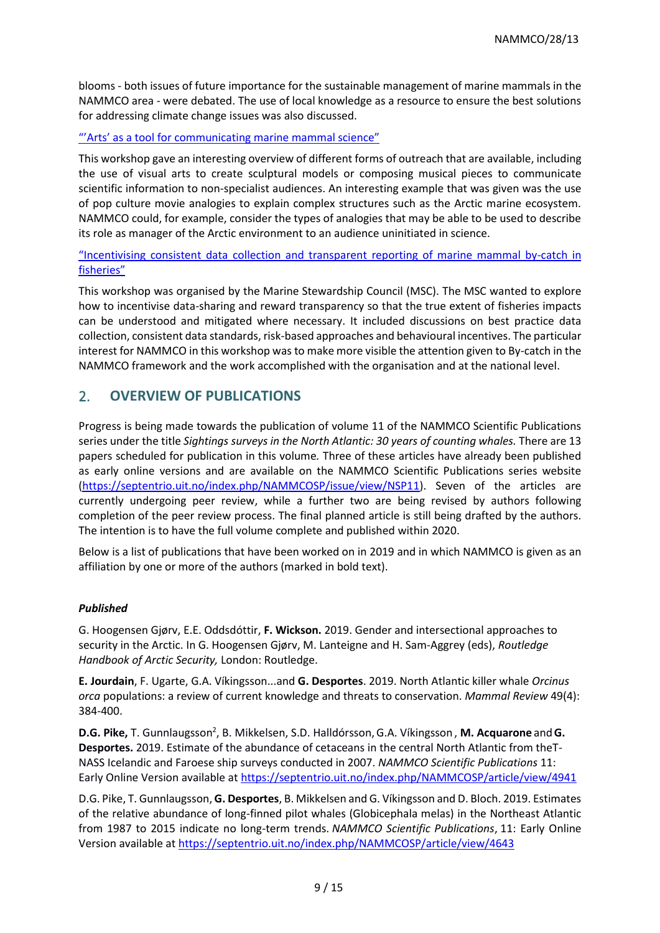blooms - both issues of future importance for the sustainable management of marine mammals in the NAMMCO area - were debated. The use of local knowledge as a resource to ensure the best solutions for addressing climate change issues was also discussed.

## "'Arts' [as a tool for communicating marine mammal science](https://www.wmmconference.org/workshops/#Arts%20as%20a%20tool%20for%20communicating%20marine%20mammal%20science)"

This workshop gave an interesting overview of different forms of outreach that are available, including the use of visual arts to create sculptural models or composing musical pieces to communicate scientific information to non-specialist audiences. An interesting example that was given was the use of pop culture movie analogies to explain complex structures such as the Arctic marine ecosystem. NAMMCO could, for example, consider the types of analogies that may be able to be used to describe its role as manager of the Arctic environment to an audience uninitiated in science.

"Incentivising consistent data [collection and transparent reporting of marine mammal by-catch in](https://www.wmmconference.org/workshops/#Incentivising%20consistent%20data%20collection%20and%20transparent%20reporting%20of%20marine%20mammal%20bycatch%20in%20fisheries)  [fisheries"](https://www.wmmconference.org/workshops/#Incentivising%20consistent%20data%20collection%20and%20transparent%20reporting%20of%20marine%20mammal%20bycatch%20in%20fisheries)

This workshop was organised by the Marine Stewardship Council (MSC). The MSC wanted to explore how to incentivise data-sharing and reward transparency so that the true extent of fisheries impacts can be understood and mitigated where necessary. It included discussions on best practice data collection, consistent data standards, risk-based approaches and behavioural incentives. The particular interest for NAMMCO in this workshop was to make more visible the attention given to By-catch in the NAMMCO framework and the work accomplished with the organisation and at the national level.

# 2. **OVERVIEW OF PUBLICATIONS**

Progress is being made towards the publication of volume 11 of the NAMMCO Scientific Publications series under the title *Sightings surveys in the North Atlantic: 30 years of counting whales.* There are 13 papers scheduled for publication in this volume*.* Three of these articles have already been published as early online versions and are available on the NAMMCO Scientific Publications series website [\(https://septentrio.uit.no/index.php/NAMMCOSP/issue/view/NSP11\)](https://septentrio.uit.no/index.php/NAMMCOSP/issue/view/NSP11). Seven of the articles are currently undergoing peer review, while a further two are being revised by authors following completion of the peer review process. The final planned article is still being drafted by the authors. The intention is to have the full volume complete and published within 2020.

Below is a list of publications that have been worked on in 2019 and in which NAMMCO is given as an affiliation by one or more of the authors (marked in bold text).

## *Published*

G. Hoogensen Gjørv, E.E. Oddsdóttir, **F. Wickson.** 2019. Gender and intersectional approaches to security in the Arctic. In G. Hoogensen Gjørv, M. Lanteigne and H. Sam-Aggrey (eds), *Routledge Handbook of Arctic Security,* London: Routledge.

**E. Jourdain**, F. Ugarte, G.A. Víkingsson...and **G. Desportes**. 2019. North Atlantic killer whale *Orcinus orca* populations: a review of current knowledge and threats to conservation. *Mammal Review* 49(4): 384-400.

**D.G. Pike, T**. Gunnlaugsson<sup>2</sup>, B. Mikkelsen, S.D. Halldórsson, G.A. Víkingsson, M. Acquarone and G. **Desportes.** 2019. Estimate of the abundance of cetaceans in the central North Atlantic from theT-NASS Icelandic and Faroese ship surveys conducted in 2007. *NAMMCO Scientific Publications* 11: Early Online Version available at<https://septentrio.uit.no/index.php/NAMMCOSP/article/view/4941>

D.G. Pike, T. Gunnlaugsson, **G. Desportes**, B. Mikkelsen and G. Víkingsson and D. Bloch. 2019. Estimates of the relative abundance of long-finned pilot whales (Globicephala melas) in the Northeast Atlantic from 1987 to 2015 indicate no long-term trends. *NAMMCO Scientific Publications*, 11: Early Online Version available at<https://septentrio.uit.no/index.php/NAMMCOSP/article/view/4643>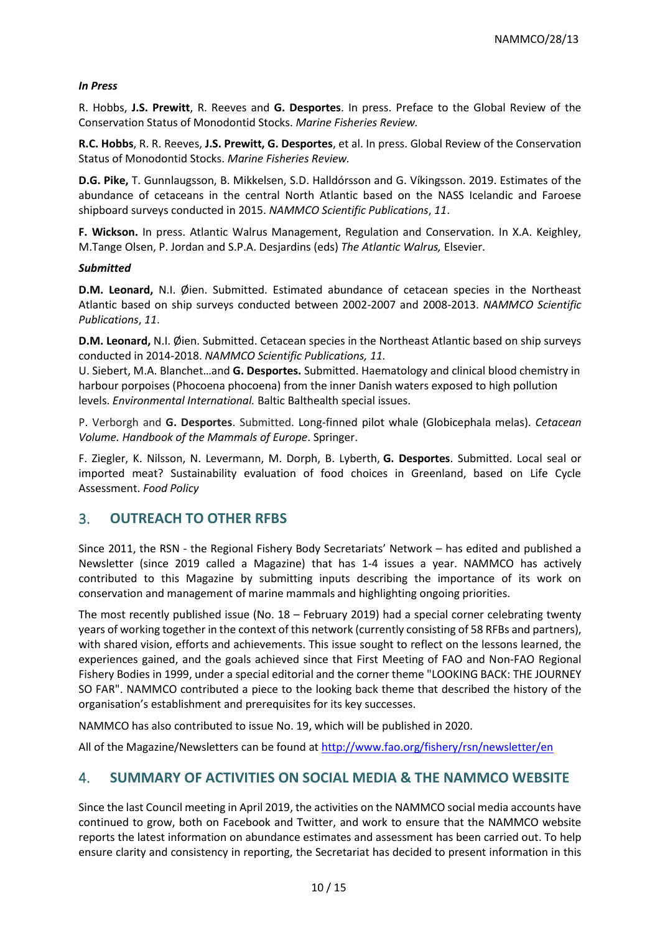## *In Press*

R. Hobbs, **J.S. Prewitt**, R. Reeves and **G. Desportes**. In press. Preface to the Global Review of the Conservation Status of Monodontid Stocks. *Marine Fisheries Review.*

**R.C. Hobbs**, R. R. Reeves, **J.S. Prewitt, G. Desportes**, et al. In press. Global Review of the Conservation Status of Monodontid Stocks. *Marine Fisheries Review.*

**D.G. Pike,** T. Gunnlaugsson, B. Mikkelsen, S.D. Halldórsson and G. Víkingsson. 2019. Estimates of the abundance of cetaceans in the central North Atlantic based on the NASS Icelandic and Faroese shipboard surveys conducted in 2015. *NAMMCO Scientific Publications*, *11*.

**F. Wickson.** In press. Atlantic Walrus Management, Regulation and Conservation. In X.A. Keighley, M.Tange Olsen, P. Jordan and S.P.A. Desjardins (eds) *The Atlantic Walrus,* Elsevier.

## *Submitted*

**D.M. Leonard,** N.I. Øien. Submitted. Estimated abundance of cetacean species in the Northeast Atlantic based on ship surveys conducted between 2002-2007 and 2008-2013. *NAMMCO Scientific Publications*, *11*.

**D.M. Leonard,** N.I. Øien. Submitted. Cetacean species in the Northeast Atlantic based on ship surveys conducted in 2014-2018. *NAMMCO Scientific Publications, 11.*

U. Siebert, M.A. Blanchet…and **G. Desportes.** Submitted. Haematology and clinical blood chemistry in harbour porpoises (Phocoena phocoena) from the inner Danish waters exposed to high pollution levels. *Environmental International.* Baltic Balthealth special issues.

P. Verborgh and **G. Desportes**. Submitted. Long-finned pilot whale (Globicephala melas). *Cetacean Volume. Handbook of the Mammals of Europe*. Springer.

F. Ziegler, K. Nilsson, N. Levermann, M. Dorph, B. Lyberth, **G. Desportes**. Submitted. Local seal or imported meat? Sustainability evaluation of food choices in Greenland, based on Life Cycle Assessment. *Food Policy*

# 3. **OUTREACH TO OTHER RFBS**

Since 2011, the RSN - the Regional Fishery Body Secretariats' Network – has edited and published a Newsletter (since 2019 called a Magazine) that has 1-4 issues a year. NAMMCO has actively contributed to this Magazine by submitting inputs describing the importance of its work on conservation and management of marine mammals and highlighting ongoing priorities.

The most recently published issue (No. 18 – February 2019) had a special corner celebrating twenty years of working together in the context of this network (currently consisting of 58 RFBs and partners), with shared vision, efforts and achievements. This issue sought to reflect on the lessons learned, the experiences gained, and the goals achieved since that First Meeting of FAO and Non-FAO Regional Fishery Bodies in 1999, under a special editorial and the corner theme "LOOKING BACK: THE JOURNEY SO FAR". NAMMCO contributed a piece to the looking back theme that described the history of the organisation's establishment and prerequisites for its key successes.

NAMMCO has also contributed to issue No. 19, which will be published in 2020.

All of the Magazine/Newsletters can be found at<http://www.fao.org/fishery/rsn/newsletter/en>

# 4. **SUMMARY OF ACTIVITIES ON SOCIAL MEDIA & THE NAMMCO WEBSITE**

Since the last Council meeting in April 2019, the activities on the NAMMCO social media accounts have continued to grow, both on Facebook and Twitter, and work to ensure that the NAMMCO website reports the latest information on abundance estimates and assessment has been carried out. To help ensure clarity and consistency in reporting, the Secretariat has decided to present information in this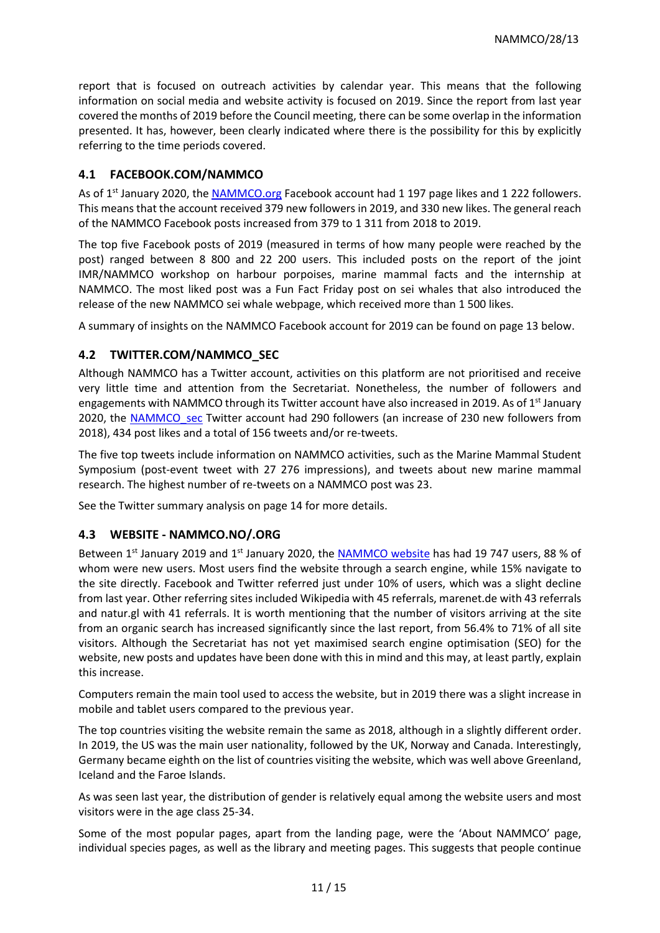report that is focused on outreach activities by calendar year. This means that the following information on social media and website activity is focused on 2019. Since the report from last year covered the months of 2019 before the Council meeting, there can be some overlap in the information presented. It has, however, been clearly indicated where there is the possibility for this by explicitly referring to the time periods covered.

# **4.1 FACEBOOK.COM/NAMMCO**

As of 1<sup>st</sup> January 2020, the [NAMMCO.org](https://www.facebook.com/nammco.org/) Facebook account had 1 197 page likes and 1 222 followers. This means that the account received 379 new followers in 2019, and 330 new likes. The general reach of the NAMMCO Facebook posts increased from 379 to 1 311 from 2018 to 2019.

The top five Facebook posts of 2019 (measured in terms of how many people were reached by the post) ranged between 8 800 and 22 200 users. This included posts on the report of the joint IMR/NAMMCO workshop on harbour porpoises, marine mammal facts and the internship at NAMMCO. The most liked post was a Fun Fact Friday post on sei whales that also introduced the release of the new NAMMCO sei whale webpage, which received more than 1 500 likes.

A summary of insights on the NAMMCO Facebook account for 2019 can be found on page 13 below.

# **4.2 TWITTER.COM/NAMMCO\_SEC**

Although NAMMCO has a Twitter account, activities on this platform are not prioritised and receive very little time and attention from the Secretariat. Nonetheless, the number of followers and engagements with NAMMCO through its Twitter account have also increased in 2019. As of  $1<sup>st</sup>$  January 2020, the [NAMMCO\\_sec](https://twitter.com/NAMMCO_sec) Twitter account had 290 followers (an increase of 230 new followers from 2018), 434 post likes and a total of 156 tweets and/or re-tweets.

The five top tweets include information on NAMMCO activities, such as the Marine Mammal Student Symposium (post-event tweet with 27 276 impressions), and tweets about new marine mammal research. The highest number of re-tweets on a NAMMCO post was 23.

See the Twitter summary analysis on page 14 for more details.

# **4.3 WEBSITE - NAMMCO.NO/.ORG**

Between 1<sup>st</sup> January 2019 and 1<sup>st</sup> January 2020, the [NAMMCO website](https://nammco.no/) has had 19 747 users, 88 % of whom were new users. Most users find the website through a search engine, while 15% navigate to the site directly. Facebook and Twitter referred just under 10% of users, which was a slight decline from last year. Other referring sites included Wikipedia with 45 referrals, marenet.de with 43 referrals and natur.gl with 41 referrals. It is worth mentioning that the number of visitors arriving at the site from an organic search has increased significantly since the last report, from 56.4% to 71% of all site visitors. Although the Secretariat has not yet maximised search engine optimisation (SEO) for the website, new posts and updates have been done with this in mind and this may, at least partly, explain this increase.

Computers remain the main tool used to access the website, but in 2019 there was a slight increase in mobile and tablet users compared to the previous year.

The top countries visiting the website remain the same as 2018, although in a slightly different order. In 2019, the US was the main user nationality, followed by the UK, Norway and Canada. Interestingly, Germany became eighth on the list of countries visiting the website, which was well above Greenland, Iceland and the Faroe Islands.

As was seen last year, the distribution of gender is relatively equal among the website users and most visitors were in the age class 25-34.

Some of the most popular pages, apart from the landing page, were the 'About NAMMCO' page, individual species pages, as well as the library and meeting pages. This suggests that people continue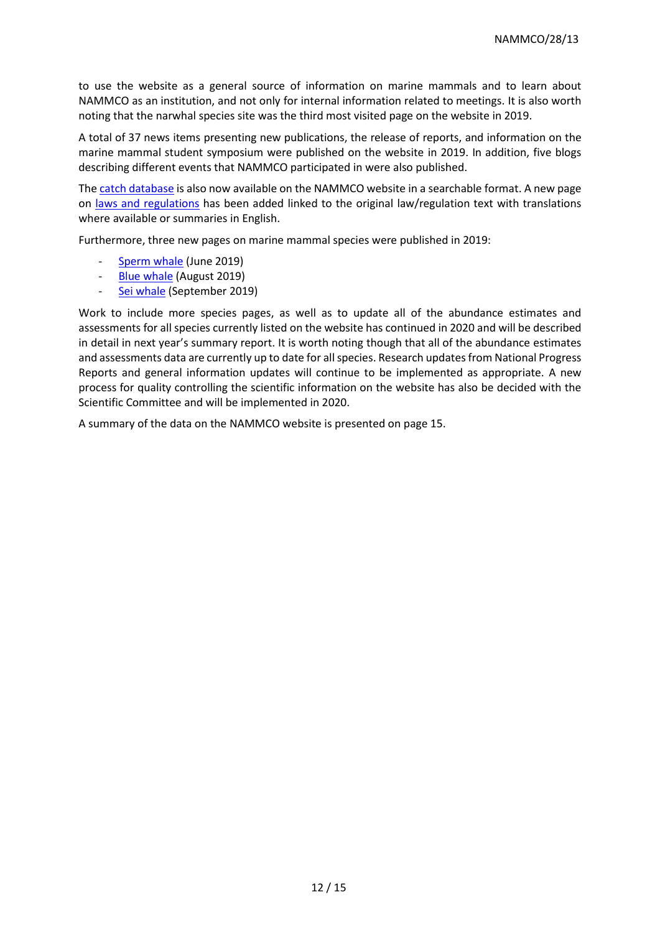to use the website as a general source of information on marine mammals and to learn about NAMMCO as an institution, and not only for internal information related to meetings. It is also worth noting that the narwhal species site was the third most visited page on the website in 2019.

A total of 37 news items presenting new publications, the release of reports, and information on the marine mammal student symposium were published on the website in 2019. In addition, five blogs describing different events that NAMMCO participated in were also published.

The [catch database](https://nammco.no/topics/catch-database/) is also now available on the NAMMCO website in a searchable format. A new page on [laws and regulations](https://nammco.no/topics/laws-and-regulations/) has been added linked to the original law/regulation text with translations where available or summaries in English.

Furthermore, three new pages on marine mammal species were published in 2019:

- [Sperm whale](https://nammco.no/topics/sperm-whale/) (June 2019)
- [Blue whale](https://nammco.no/topics/blue-whale/) (August 2019)
- [Sei whale](https://nammco.no/topics/sei-whale/) (September 2019)

Work to include more species pages, as well as to update all of the abundance estimates and assessments for all species currently listed on the website has continued in 2020 and will be described in detail in next year's summary report. It is worth noting though that all of the abundance estimates and assessments data are currently up to date for all species. Research updates from National Progress Reports and general information updates will continue to be implemented as appropriate. A new process for quality controlling the scientific information on the website has also be decided with the Scientific Committee and will be implemented in 2020.

A summary of the data on the NAMMCO website is presented on page 15.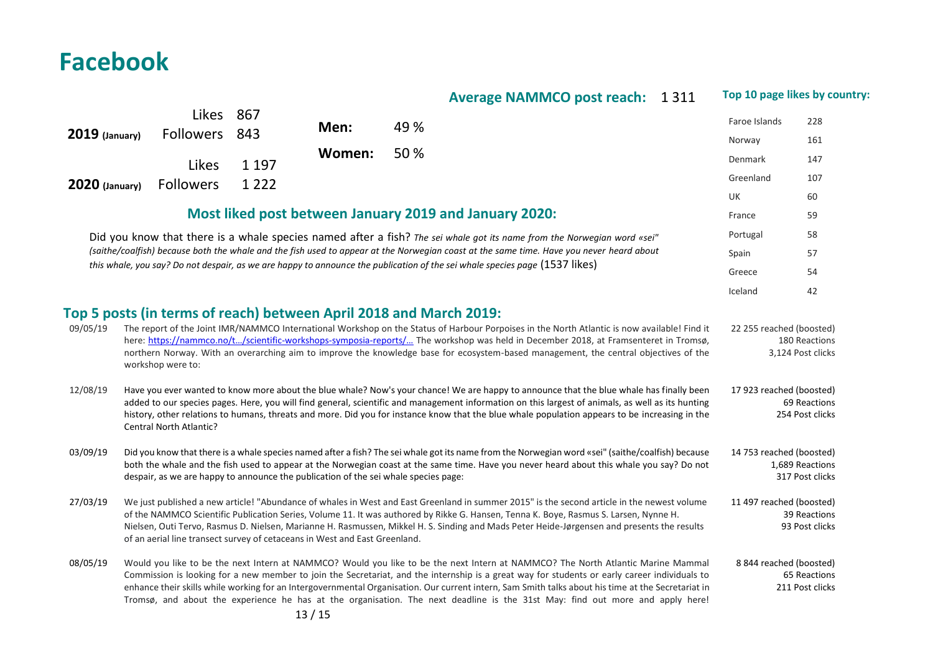# **Average NAMMCO post reach:** 1 311 **Top 10 page likes by country:**

|                                                                                                                                                                                                                                                                                                                                                                                                                                                                                                                                                                                                                                                                                                                                                                                                                                                                                                                                                                                                                                                                                                                                                               | <b>LIKES</b>                                                                                                                                                                                                                                                                                                                                                                                                                                                                                                                                                    | 807<br>843 | Men:   | 49 %                                                                                                                                                                                                                                                                                                                                                                                                                                                                                                                                                                     | Faroe Islands                      | 228                             |
|---------------------------------------------------------------------------------------------------------------------------------------------------------------------------------------------------------------------------------------------------------------------------------------------------------------------------------------------------------------------------------------------------------------------------------------------------------------------------------------------------------------------------------------------------------------------------------------------------------------------------------------------------------------------------------------------------------------------------------------------------------------------------------------------------------------------------------------------------------------------------------------------------------------------------------------------------------------------------------------------------------------------------------------------------------------------------------------------------------------------------------------------------------------|-----------------------------------------------------------------------------------------------------------------------------------------------------------------------------------------------------------------------------------------------------------------------------------------------------------------------------------------------------------------------------------------------------------------------------------------------------------------------------------------------------------------------------------------------------------------|------------|--------|--------------------------------------------------------------------------------------------------------------------------------------------------------------------------------------------------------------------------------------------------------------------------------------------------------------------------------------------------------------------------------------------------------------------------------------------------------------------------------------------------------------------------------------------------------------------------|------------------------------------|---------------------------------|
| $2019$ (January)                                                                                                                                                                                                                                                                                                                                                                                                                                                                                                                                                                                                                                                                                                                                                                                                                                                                                                                                                                                                                                                                                                                                              | <b>Followers</b>                                                                                                                                                                                                                                                                                                                                                                                                                                                                                                                                                |            |        |                                                                                                                                                                                                                                                                                                                                                                                                                                                                                                                                                                          | Norway                             | 161                             |
|                                                                                                                                                                                                                                                                                                                                                                                                                                                                                                                                                                                                                                                                                                                                                                                                                                                                                                                                                                                                                                                                                                                                                               | Likes                                                                                                                                                                                                                                                                                                                                                                                                                                                                                                                                                           | 1 1 9 7    | Women: | 50 %                                                                                                                                                                                                                                                                                                                                                                                                                                                                                                                                                                     | Denmark                            | 147                             |
| <b>2020</b> (January)                                                                                                                                                                                                                                                                                                                                                                                                                                                                                                                                                                                                                                                                                                                                                                                                                                                                                                                                                                                                                                                                                                                                         | <b>Followers</b>                                                                                                                                                                                                                                                                                                                                                                                                                                                                                                                                                | 1 2 2 2    |        |                                                                                                                                                                                                                                                                                                                                                                                                                                                                                                                                                                          | Greenland                          | 107                             |
|                                                                                                                                                                                                                                                                                                                                                                                                                                                                                                                                                                                                                                                                                                                                                                                                                                                                                                                                                                                                                                                                                                                                                               |                                                                                                                                                                                                                                                                                                                                                                                                                                                                                                                                                                 |            |        |                                                                                                                                                                                                                                                                                                                                                                                                                                                                                                                                                                          | <b>UK</b>                          | 60                              |
|                                                                                                                                                                                                                                                                                                                                                                                                                                                                                                                                                                                                                                                                                                                                                                                                                                                                                                                                                                                                                                                                                                                                                               |                                                                                                                                                                                                                                                                                                                                                                                                                                                                                                                                                                 |            |        | Most liked post between January 2019 and January 2020:                                                                                                                                                                                                                                                                                                                                                                                                                                                                                                                   | France                             | 59                              |
|                                                                                                                                                                                                                                                                                                                                                                                                                                                                                                                                                                                                                                                                                                                                                                                                                                                                                                                                                                                                                                                                                                                                                               |                                                                                                                                                                                                                                                                                                                                                                                                                                                                                                                                                                 |            |        | Did you know that there is a whale species named after a fish? The sei whale got its name from the Norwegian word «sei"                                                                                                                                                                                                                                                                                                                                                                                                                                                  | Portugal                           | 58                              |
|                                                                                                                                                                                                                                                                                                                                                                                                                                                                                                                                                                                                                                                                                                                                                                                                                                                                                                                                                                                                                                                                                                                                                               |                                                                                                                                                                                                                                                                                                                                                                                                                                                                                                                                                                 |            |        | (saithe/coalfish) because both the whale and the fish used to appear at the Norwegian coast at the same time. Have you never heard about                                                                                                                                                                                                                                                                                                                                                                                                                                 | Spain                              | 57                              |
| this whale, you say? Do not despair, as we are happy to announce the publication of the sei whale species page (1537 likes)                                                                                                                                                                                                                                                                                                                                                                                                                                                                                                                                                                                                                                                                                                                                                                                                                                                                                                                                                                                                                                   |                                                                                                                                                                                                                                                                                                                                                                                                                                                                                                                                                                 |            |        | Greece                                                                                                                                                                                                                                                                                                                                                                                                                                                                                                                                                                   | 54                                 |                                 |
|                                                                                                                                                                                                                                                                                                                                                                                                                                                                                                                                                                                                                                                                                                                                                                                                                                                                                                                                                                                                                                                                                                                                                               |                                                                                                                                                                                                                                                                                                                                                                                                                                                                                                                                                                 |            |        |                                                                                                                                                                                                                                                                                                                                                                                                                                                                                                                                                                          | Iceland                            | 42                              |
| Top 5 posts (in terms of reach) between April 2018 and March 2019:<br>The report of the Joint IMR/NAMMCO International Workshop on the Status of Harbour Porpoises in the North Atlantic is now available! Find it<br>09/05/19<br>22 255 reached (boosted)<br>here: https://nammco.no/t/scientific-workshops-symposia-reports/ The workshop was held in December 2018, at Framsenteret in Tromsø,<br>180 Reactions<br>northern Norway. With an overarching aim to improve the knowledge base for ecosystem-based management, the central objectives of the<br>3,124 Post clicks<br>workshop were to:<br>12/08/19<br>Have you ever wanted to know more about the blue whale? Now's your chance! We are happy to announce that the blue whale has finally been<br>17 923 reached (boosted)<br>added to our species pages. Here, you will find general, scientific and management information on this largest of animals, as well as its hunting<br>69 Reactions<br>history, other relations to humans, threats and more. Did you for instance know that the blue whale population appears to be increasing in the<br>254 Post clicks<br>Central North Atlantic? |                                                                                                                                                                                                                                                                                                                                                                                                                                                                                                                                                                 |            |        |                                                                                                                                                                                                                                                                                                                                                                                                                                                                                                                                                                          |                                    |                                 |
| 03/09/19                                                                                                                                                                                                                                                                                                                                                                                                                                                                                                                                                                                                                                                                                                                                                                                                                                                                                                                                                                                                                                                                                                                                                      | Did you know that there is a whale species named after a fish? The sei whale got its name from the Norwegian word «sei" (saithe/coalfish) because<br>14 753 reached (boosted)<br>both the whale and the fish used to appear at the Norwegian coast at the same time. Have you never heard about this whale you say? Do not<br>despair, as we are happy to announce the publication of the sei whale species page:                                                                                                                                               |            |        |                                                                                                                                                                                                                                                                                                                                                                                                                                                                                                                                                                          | 1,689 Reactions<br>317 Post clicks |                                 |
| 27/03/19                                                                                                                                                                                                                                                                                                                                                                                                                                                                                                                                                                                                                                                                                                                                                                                                                                                                                                                                                                                                                                                                                                                                                      | We just published a new article! "Abundance of whales in West and East Greenland in summer 2015" is the second article in the newest volume<br>11 497 reached (boosted)<br>of the NAMMCO Scientific Publication Series, Volume 11. It was authored by Rikke G. Hansen, Tenna K. Boye, Rasmus S. Larsen, Nynne H.<br>Nielsen, Outi Tervo, Rasmus D. Nielsen, Marianne H. Rasmussen, Mikkel H. S. Sinding and Mads Peter Heide-Jørgensen and presents the results<br>93 Post clicks<br>of an aerial line transect survey of cetaceans in West and East Greenland. |            |        |                                                                                                                                                                                                                                                                                                                                                                                                                                                                                                                                                                          | 39 Reactions                       |                                 |
| 08/05/19                                                                                                                                                                                                                                                                                                                                                                                                                                                                                                                                                                                                                                                                                                                                                                                                                                                                                                                                                                                                                                                                                                                                                      |                                                                                                                                                                                                                                                                                                                                                                                                                                                                                                                                                                 |            | 13/15  | Would you like to be the next Intern at NAMMCO? Would you like to be the next Intern at NAMMCO? The North Atlantic Marine Mammal<br>Commission is looking for a new member to join the Secretariat, and the internship is a great way for students or early career individuals to<br>enhance their skills while working for an Intergovernmental Organisation. Our current intern, Sam Smith talks about his time at the Secretariat in<br>Tromsø, and about the experience he has at the organisation. The next deadline is the 31st May: find out more and apply here! | 8 844 reached (boosted)            | 65 Reactions<br>211 Post clicks |

**Facebook**

Likes 867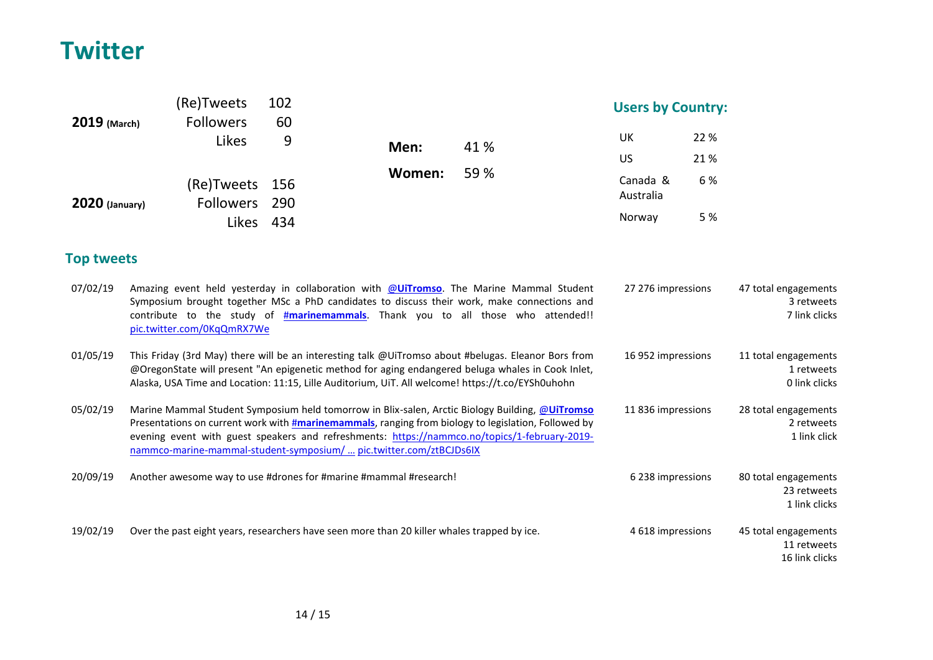# **Twitter**

|                       | (Re)Tweets                                                                                                                                                                                                                                                                                                                                                                             | 102     |        |                                                                                                                                                                                                                                                                                    | <b>Users by Country:</b> |                                                     |                                                       |
|-----------------------|----------------------------------------------------------------------------------------------------------------------------------------------------------------------------------------------------------------------------------------------------------------------------------------------------------------------------------------------------------------------------------------|---------|--------|------------------------------------------------------------------------------------------------------------------------------------------------------------------------------------------------------------------------------------------------------------------------------------|--------------------------|-----------------------------------------------------|-------------------------------------------------------|
| 2019 (March)          | <b>Followers</b><br>Likes                                                                                                                                                                                                                                                                                                                                                              | 60<br>9 | Men:   | 41 %                                                                                                                                                                                                                                                                               | UK<br>US                 | 22 %<br>21%                                         |                                                       |
|                       | (Re)Tweets                                                                                                                                                                                                                                                                                                                                                                             | 156     | Women: | 59 %                                                                                                                                                                                                                                                                               | Canada &<br>Australia    | 6%                                                  |                                                       |
| <b>2020 (January)</b> | Followers<br>Likes 434                                                                                                                                                                                                                                                                                                                                                                 | 290     |        |                                                                                                                                                                                                                                                                                    | Norway                   | 5 %                                                 |                                                       |
| <b>Top tweets</b>     |                                                                                                                                                                                                                                                                                                                                                                                        |         |        |                                                                                                                                                                                                                                                                                    |                          |                                                     |                                                       |
| 07/02/19              | pic.twitter.com/0KqQmRX7We                                                                                                                                                                                                                                                                                                                                                             |         |        | Amazing event held yesterday in collaboration with @UiTromso. The Marine Mammal Student<br>Symposium brought together MSc a PhD candidates to discuss their work, make connections and<br>contribute to the study of <b>#marinemammals</b> . Thank you to all those who attended!! | 27 276 impressions       |                                                     | 47 total engagements<br>3 retweets<br>7 link clicks   |
| 01/05/19              | This Friday (3rd May) there will be an interesting talk @UiTromso about #belugas. Eleanor Bors from<br>16 952 impressions<br>@OregonState will present "An epigenetic method for aging endangered beluga whales in Cook Inlet,<br>Alaska, USA Time and Location: 11:15, Lille Auditorium, UiT. All welcome! https://t.co/EYSh0uhohn                                                    |         |        |                                                                                                                                                                                                                                                                                    |                          | 11 total engagements<br>1 retweets<br>0 link clicks |                                                       |
| 05/02/19              | Marine Mammal Student Symposium held tomorrow in Blix-salen, Arctic Biology Building, @UiTromso<br>Presentations on current work with <b>#marinemammals</b> , ranging from biology to legislation, Followed by<br>evening event with guest speakers and refreshments: https://nammco.no/topics/1-february-2019-<br>nammco-marine-mammal-student-symposium/  pic.twitter.com/ztBCJDs6IX |         |        |                                                                                                                                                                                                                                                                                    |                          | 11836 impressions                                   | 28 total engagements<br>2 retweets<br>1 link click    |
| 20/09/19              | Another awesome way to use #drones for #marine #mammal #research!                                                                                                                                                                                                                                                                                                                      |         |        |                                                                                                                                                                                                                                                                                    | 6 238 impressions        |                                                     | 80 total engagements<br>23 retweets<br>1 link clicks  |
| 19/02/19              | Over the past eight years, researchers have seen more than 20 killer whales trapped by ice.                                                                                                                                                                                                                                                                                            |         |        |                                                                                                                                                                                                                                                                                    | 4 618 impressions        |                                                     | 45 total engagements<br>11 retweets<br>16 link clicks |

14 / 15